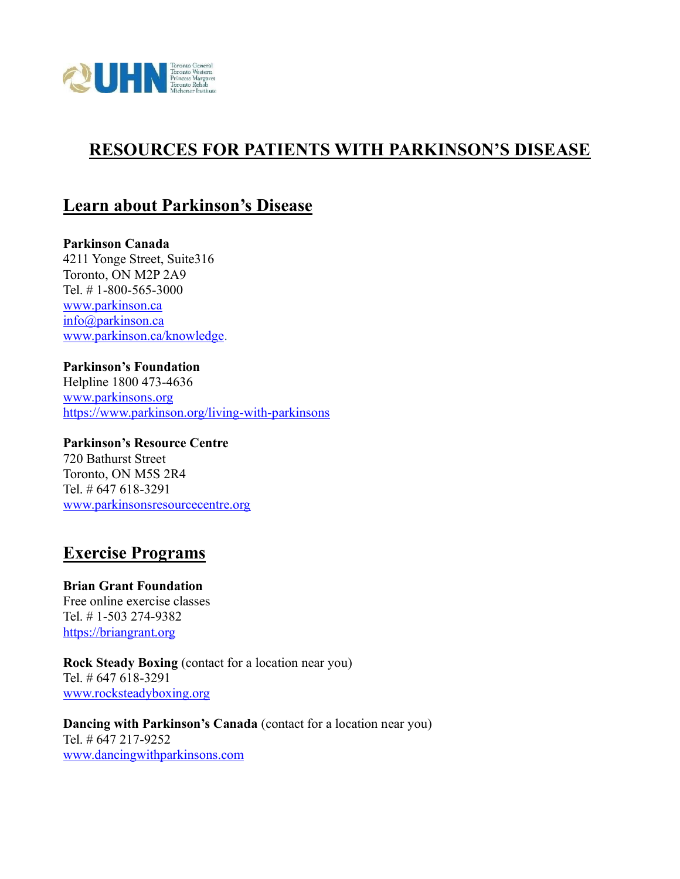

## **RESOURCES FOR PATIENTS WITH PARKINSON'S DISEASE**

### **Learn about Parkinson's Disease**

**Parkinson Canada** 4211 Yonge Street, Suite316 Toronto, ON M2P 2A9 Tel. # 1-800-565-3000 [www.parkinson.ca](http://www.parkinson.ca/) [info@parkinson.ca](mailto:info@parkinson.ca) [www.parkinson.ca/knowledge.](http://www.parkinson.ca/knowledge)

#### **Parkinson's Foundation**

Helpline 1800 473-4636 [www.parkinsons.org](http://www.parkinsons.org/) <https://www.parkinson.org/living-with-parkinsons>

**Parkinson's Resource Centre** 720 Bathurst Street Toronto, ON M5S 2R4 Tel. # 647 618-3291 [www.parkinsonsresourcecentre.org](http://www.parkinsonsresourcecentre.org/)

#### **Exercise Programs**

**Brian Grant Foundation** Free online exercise classes Tel. # 1-503 274-9382 [https://briangrant.org](https://briangrant.org/)

**Rock Steady Boxing** (contact for a location near you) Tel. # 647 618-3291 [www.rocksteadyboxing.org](http://www.rocksteadyboxing.org/)

**Dancing with Parkinson's Canada** (contact for a location near you) Tel. # 647 217-9252 [www.dancingwithparkinsons.com](http://www.dancingwithparkinsons.com/)